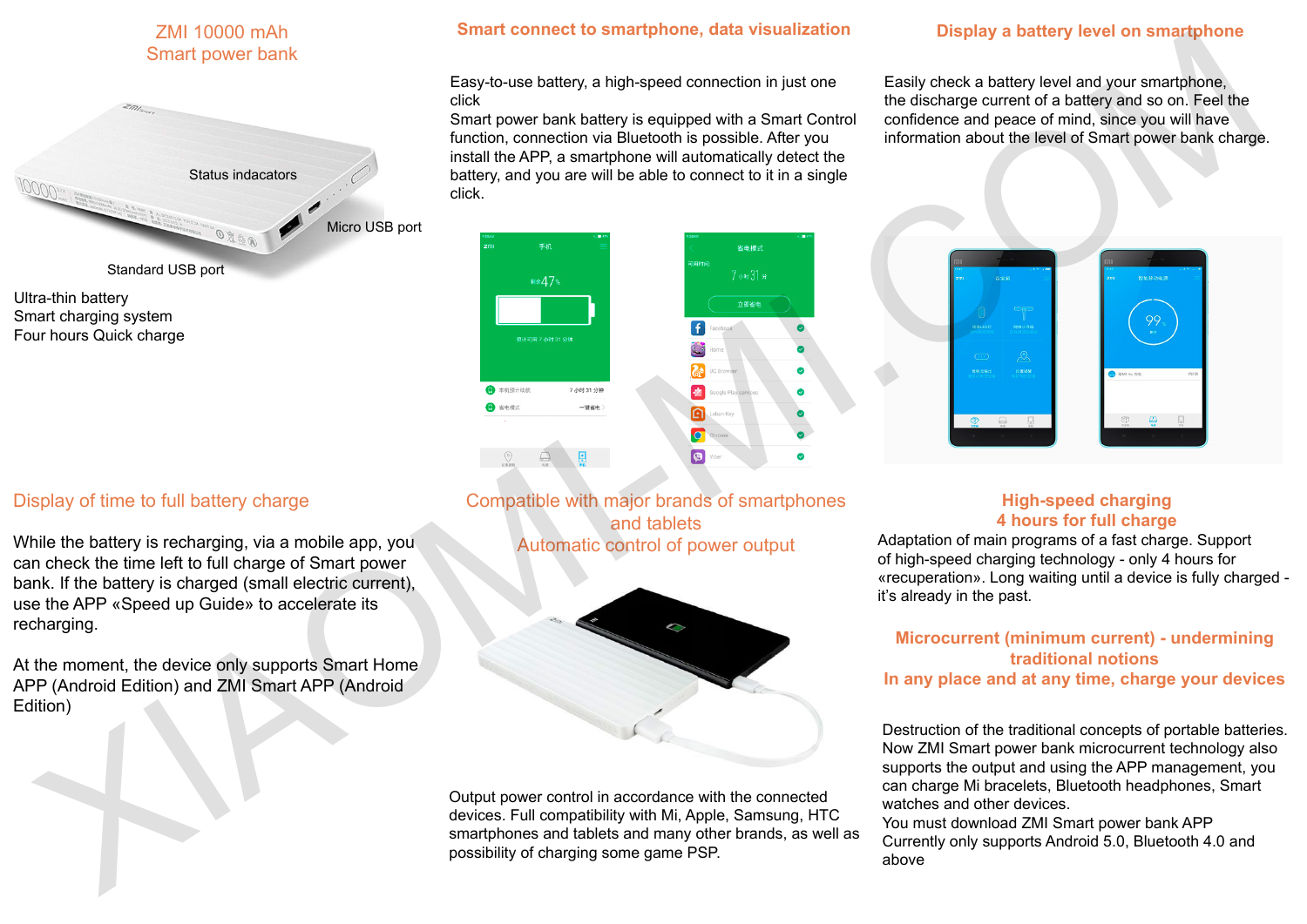## ZMI 10000 mAh Smart power bank



Ultra-thin battery Smart charging system Four hours Quick charge

## Display of time to full battery charge

While the battery is recharging, via a mobile app, you can check the time left to full charge of Smart power bank. If the battery is charged (small electric current), use the APP «Speed up Guide» to accelerate its recharging.

At the moment, the device only supports Smart Home APP (Android Edition) and ZMI Smart APP (Android Edition)

#### **Smart connect to smartphone, data visualization Display a battery level on smartphone**

Easy-to-use battery, a high-speed connection in just one click

Smart power bank battery is equipped with a Smart Control function, connection via Bluetooth is possible. After you install the APP, a smartphone will automatically detect the battery, and you are will be able to connect to it in a single click.

Easily check a battery level and your smartphone, the discharge current of a battery and so on. Feel the confidence and peace of mind, since you will have information about the level of Smart power bank charge.





Compatible with major brands of smartphones and tablets Automatic control of power output



Output power control in accordance with the connected devices. Full compatibility with Mi, Apple, Samsung, HTC smartphones and tablets and many other brands, as well as possibility of charging some game PSP.

### **High-speed charging 4 hours for full charge**

Adaptation of main programs of a fast charge. Support of high-speed charging technology - only 4 hours for «recuperation». Long waiting until a device is fully charged it's already in the past.

#### **Microcurrent (minimum current) - undermining traditional notions In any place and at any time, charge your devices**

Destruction of the traditional concepts of portable batteries. Now ZMI Smart power bank microcurrent technology also supports the output and using the APP management, you can charge Mi bracelets, Bluetooth headphones, Smart watches and other devices.

You must download ZMI Smart power bank APP Currently only supports Android 5.0, Bluetooth 4.0 and above